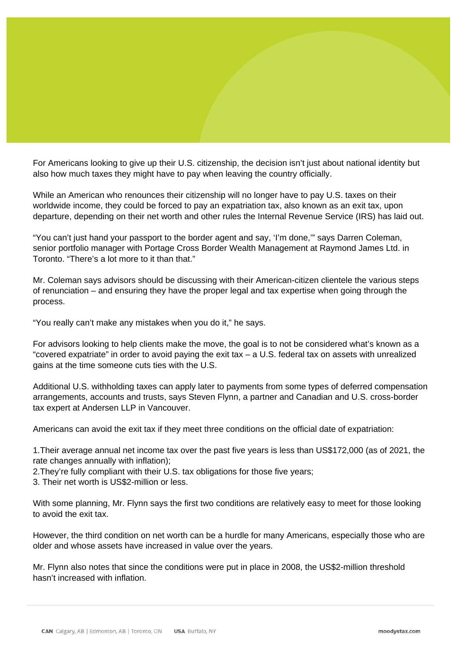What to Consider When Deciding to Renounce U.S. Citizenship for Tax Purposes - The Globe and Mail Article (Featuring Quotes from Alexander Marino, Leader of the US Tax Practice)

Brenda Bouw, The Globe and Mail June 22, 2022

For Americans looking to give up their U.S. citizenship, the decision isn't just about national identity but also how much taxes they might have to pay when leaving the country officially.

While an American who renounces their citizenship will no longer have to pay U.S. taxes on their worldwide income, they could be forced to pay an expatriation tax, also known as an exit tax, upon departure, depending on their net worth and other rules the Internal Revenue Service (IRS) has laid out.

"You can't just hand your passport to the border agent and say, 'I'm done,'" says Darren Coleman, senior portfolio manager with Portage Cross Border Wealth Management at Raymond James Ltd. in Toronto. "There's a lot more to it than that."

Mr. Coleman says advisors should be discussing with their American-citizen clientele the various steps of renunciation – and ensuring they have the proper legal and tax expertise when going through the process.

"You really can't make any mistakes when you do it," he says.

For advisors looking to help clients make the move, the goal is to not be considered what's known as a "covered expatriate" in order to avoid paying the exit tax – a U.S. federal tax on assets with unrealized gains at the time someone cuts ties with the U.S.

Additional U.S. withholding taxes can apply later to payments from some types of deferred compensation arrangements, accounts and trusts, says Steven Flynn, a partner and Canadian and U.S. cross-border tax expert at Andersen LLP in Vancouver.

Americans can avoid the exit tax if they meet three conditions on the official date of expatriation:

1.Their average annual net income tax over the past five years is less than US\$172,000 (as of 2021, the rate changes annually with inflation);

2.They're fully compliant with their U.S. tax obligations for those five years;

3. Their net worth is US\$2-million or less.

With some planning, Mr. Flynn says the first two conditions are relatively easy to meet for those looking to avoid the exit tax.

However, the third condition on net worth can be a hurdle for many Americans, especially those who are older and whose assets have increased in value over the years.

Mr. Flynn also notes that since the conditions were put in place in 2008, the US\$2-million threshold hasn't increased with inflation.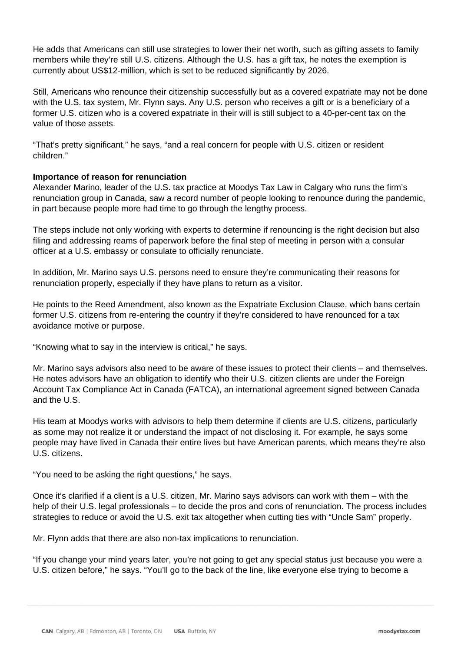He adds that Americans can still use strategies to lower their net worth, such as gifting assets to family members while they're still U.S. citizens. Although the U.S. has a gift tax, he notes the exemption is currently about US\$12-million, which is set to be reduced significantly by 2026.

Still, Americans who renounce their citizenship successfully but as a covered expatriate may not be done with the U.S. tax system, Mr. Flynn says. Any U.S. person who receives a gift or is a beneficiary of a former U.S. citizen who is a covered expatriate in their will is still subject to a 40-per-cent tax on the value of those assets.

"That's pretty significant," he says, "and a real concern for people with U.S. citizen or resident children."

## **Importance of reason for renunciation**

Alexander Marino, leader of the U.S. tax practice at Moodys Tax Law in Calgary who runs the firm's renunciation group in Canada, saw a record number of people looking to renounce during the pandemic, in part because people more had time to go through the lengthy process.

The steps include not only working with experts to determine if renouncing is the right decision but also filing and addressing reams of paperwork before the final step of meeting in person with a consular officer at a U.S. embassy or consulate to officially renunciate.

In addition, Mr. Marino says U.S. persons need to ensure they're communicating their reasons for renunciation properly, especially if they have plans to return as a visitor.

He points to the Reed Amendment, also known as the Expatriate Exclusion Clause, which bans certain former U.S. citizens from re-entering the country if they're considered to have renounced for a tax avoidance motive or purpose.

"Knowing what to say in the interview is critical," he says.

Mr. Marino says advisors also need to be aware of these issues to protect their clients – and themselves. He notes advisors have an obligation to identify who their U.S. citizen clients are under the Foreign Account Tax Compliance Act in Canada (FATCA), an international agreement signed between Canada and the U.S.

His team at Moodys works with advisors to help them determine if clients are U.S. citizens, particularly as some may not realize it or understand the impact of not disclosing it. For example, he says some people may have lived in Canada their entire lives but have American parents, which means they're also U.S. citizens.

"You need to be asking the right questions," he says.

Once it's clarified if a client is a U.S. citizen, Mr. Marino says advisors can work with them – with the help of their U.S. legal professionals – to decide the pros and cons of renunciation. The process includes strategies to reduce or avoid the U.S. exit tax altogether when cutting ties with "Uncle Sam" properly.

Mr. Flynn adds that there are also non-tax implications to renunciation.

"If you change your mind years later, you're not going to get any special status just because you were a U.S. citizen before," he says. "You'll go to the back of the line, like everyone else trying to become a